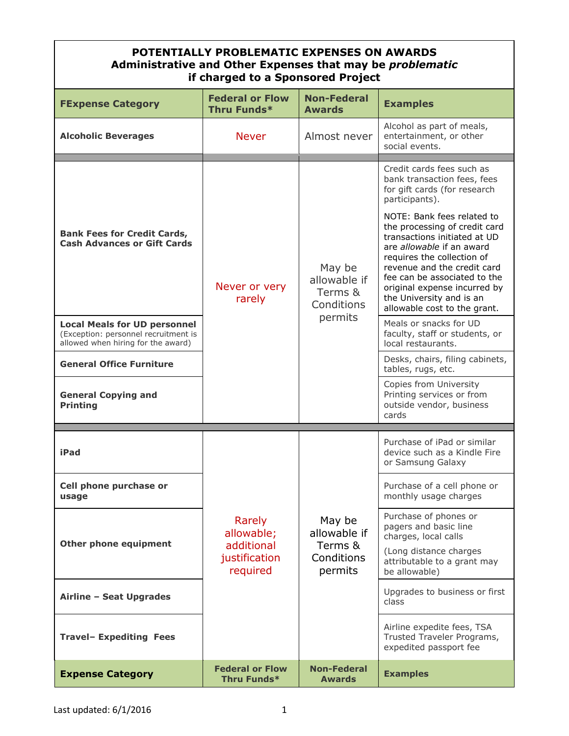| POTENTIALLY PROBLEMATIC EXPENSES ON AWARDS<br>Administrative and Other Expenses that may be <i>problematic</i><br>if charged to a Sponsored Project |                                                                 |                                                            |                                                                                                                                                                                                                                                                                                                   |  |
|-----------------------------------------------------------------------------------------------------------------------------------------------------|-----------------------------------------------------------------|------------------------------------------------------------|-------------------------------------------------------------------------------------------------------------------------------------------------------------------------------------------------------------------------------------------------------------------------------------------------------------------|--|
| <b>FExpense Category</b>                                                                                                                            | <b>Federal or Flow</b><br>Thru Funds*                           | <b>Non-Federal</b><br><b>Awards</b>                        | <b>Examples</b>                                                                                                                                                                                                                                                                                                   |  |
| <b>Alcoholic Beverages</b>                                                                                                                          | <b>Never</b>                                                    | Almost never                                               | Alcohol as part of meals,<br>entertainment, or other<br>social events.                                                                                                                                                                                                                                            |  |
|                                                                                                                                                     | Never or very<br>rarely                                         | May be<br>allowable if<br>Terms &<br>Conditions<br>permits | Credit cards fees such as<br>bank transaction fees, fees<br>for gift cards (for research<br>participants).                                                                                                                                                                                                        |  |
| <b>Bank Fees for Credit Cards,</b><br><b>Cash Advances or Gift Cards</b>                                                                            |                                                                 |                                                            | NOTE: Bank fees related to<br>the processing of credit card<br>transactions initiated at UD<br>are allowable if an award<br>requires the collection of<br>revenue and the credit card<br>fee can be associated to the<br>original expense incurred by<br>the University and is an<br>allowable cost to the grant. |  |
| <b>Local Meals for UD personnel</b><br>(Exception: personnel recruitment is<br>allowed when hiring for the award)                                   |                                                                 |                                                            | Meals or snacks for UD<br>faculty, staff or students, or<br>local restaurants.                                                                                                                                                                                                                                    |  |
| <b>General Office Furniture</b>                                                                                                                     |                                                                 |                                                            | Desks, chairs, filing cabinets,<br>tables, rugs, etc.                                                                                                                                                                                                                                                             |  |
| <b>General Copying and</b><br><b>Printing</b>                                                                                                       |                                                                 |                                                            | Copies from University<br>Printing services or from<br>outside vendor, business<br>cards                                                                                                                                                                                                                          |  |
| iPad                                                                                                                                                | Rarely<br>allowable;<br>additional<br>justification<br>required | May be<br>allowable if<br>Terms &<br>Conditions<br>permits | Purchase of iPad or similar<br>device such as a Kindle Fire<br>or Samsung Galaxy                                                                                                                                                                                                                                  |  |
| Cell phone purchase or<br>usage                                                                                                                     |                                                                 |                                                            | Purchase of a cell phone or<br>monthly usage charges                                                                                                                                                                                                                                                              |  |
| <b>Other phone equipment</b>                                                                                                                        |                                                                 |                                                            | Purchase of phones or<br>pagers and basic line<br>charges, local calls<br>(Long distance charges<br>attributable to a grant may<br>be allowable)                                                                                                                                                                  |  |
| Airline - Seat Upgrades                                                                                                                             |                                                                 |                                                            | Upgrades to business or first<br>class                                                                                                                                                                                                                                                                            |  |
| Travel- Expediting Fees                                                                                                                             |                                                                 |                                                            | Airline expedite fees, TSA<br>Trusted Traveler Programs,<br>expedited passport fee                                                                                                                                                                                                                                |  |
| <b>Expense Category</b>                                                                                                                             | <b>Federal or Flow</b><br>Thru Funds*                           | <b>Non-Federal</b><br><b>Awards</b>                        | <b>Examples</b>                                                                                                                                                                                                                                                                                                   |  |

 $\Gamma$